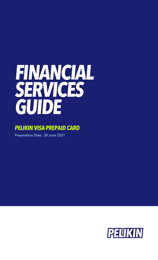# **FINANCIAL SERVICES GUIDE**

# **PELIKIN VISA PREPAID CARD**

Preperation Date: 30 June 2021

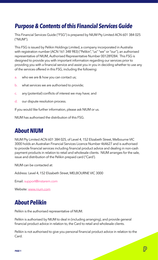## **Purpose & Contents of this Financial Services Guide**

This Financial Services Guide ("FSG") is prepared by NIUM Pty Limited ACN 601 384 025 ("NIUM").

This FSG is issued by Pelikin Holdings Limited, a company incorporated in Australia with registration number (ACN 161 348 983) ("Pelikin", "us" "we" or "our"), an authorised representative of NIUM, Authorised Representative Number 001289284. This FSG is designed to provide you with important information regarding our services prior to providing you with a financial service and assist you in you in deciding whether to use any of the services offered in this FSG, including the following:

- a. who we are & how you can contact us;
- b. what services we are authorised to provide;
- c. any (potential) conflicts of interest we may have; and
- d. our dispute resolution process.

If you would like further information, please ask NIUM or us.

NIUM has authorised the distribution of this FSG.

#### **About NIUM**

NIUM Pty Limited ACN 601 384 025, of Level 4, 152 Elizabeth Street, Melbourne VIC 3000 holds an Australian Financial Services Licence Number 464627 and is authorised to provide financial services including financial product advice and dealing in non-cash payment products in relation to retail and wholesale clients. NIUM arranges for the sale, issue and distribution of the Pelikin prepaid card ("Card').

NIUM can be contacted at:

Address: Level 4, 152 Elizabeth Street, MELBOURNE VIC 3000

Email: support@instarem.com

Website: www.nium.com

# **About Pelikin**

Pelikin is the authorised representative of NIUM.

Pelikin is authorised by NIUM to deal in (including arranging), and provide general financial product advice in relation to, the Card to retail and wholesale clients.

Pelikin is not authorised to give you personal financial product advice in relation to the Card.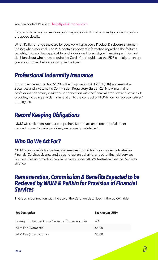You can contact Pelikin at: help@pelikinmoney.com

If you wish to utilise our services, you may issue us with instructions by contacting us via the above details.

When Pelikin arrange the Card for you, we will give you a Product Disclosure Statement ("PDS") when required. The PDS contain important information regarding the features, benefits, risks and fees applicable, and is designed to assist you in making an informed decision about whether to acquire the Card. You should read the PDS carefully to ensure you are informed before you acquire the Card.

#### **Professional Indemnity Insurance**

In compliance with section 912B of the Corporations Act 2001 (Cth) and Australian Securities and Investments Commission Regulatory Guide 126, NIUM maintains professional indemnity insurance in connection with the financial products and services it provides, including any claims in relation to the conduct of NIUM's former representatives/ employees.

# **Record Keeping Obligations**

NIUM will seek to ensure that comprehensive and accurate records of all client transactions and advice provided, are properly maintained.

### **Who Do We Act For?**

NIUM is responsible for the financial services it provides to you under its Australian Financial Services Licence and does not act on behalf of any other financial services licensee. Pelikin provides financial services under NIUM's Australian Financial Services Licence.

#### **Remuneration, Commission & Benefits Expected to be Recieved by NIUM & Pelikin for Provision of Financial Services**

The fees in connection with the use of the Card are described in the below table.

| <b>Fee Description</b>                          | <b>Fee Amount (AUD)</b> |
|-------------------------------------------------|-------------------------|
| Foreign Exchange/ Cross Currency Conversion Fee | 4%                      |
| ATM Fee (Domestic)                              | \$4.00                  |
| ATM Fee (International)                         | \$5.00                  |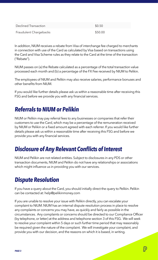| Declined Transaction   | \$0.50  |
|------------------------|---------|
| Fraudulent Chargebacks | \$50.00 |

In addition, NIUM receives a rebate from Visa of interchange fee charged to merchants in connection with use of the Card as calculated by Visa based on transactions using the Card and Visa Scheme rules as they relate to the Card at the time of the transaction ("Rebate").

NIUM passes on (a) the Rebate calculated as a percentage of the total transaction value processed each month and (b) a percentage of the FX Fee received by NIUM to Pelikin.

The employees of NIUM and Pelikin may also receive salaries, performance bonuses and other benefits from NIUM.

If you would like further details please ask us within a reasonable time after receiving this FSG and before we provide you with any financial services.

#### **Referrals to NIUM or Pelikin**

NIUM or Pelikin may pay referral fees to any businesses or companies that refer their customers to use the Card, which may be a percentage of the remuneration received by NIUM or Pelikin or a fixed amount agreed with each referrer. If you would like further details please ask us within a reasonable time after receiving this FSG and before we provide you with any financial services.

### **Disclosure of Any Relevant Conflicts of Interest**

NIUM and Pelikin are not related entities. Subject to disclosures in any PDS or other transaction documents, NIUM and Pelikin do not have any relationships or associations which might influence us in providing you with our services.

### **Dispute Resolution**

If you have a query about the Card, you should initially direct the query to Pelikin. Pelikin can be contacted at: help@pelikinmoney.com

If you are unable to resolve your issue with Pelikin directly, you can escalate your complaint to NIUM. NIUM has an internal dispute resolution process in place to resolve any complaints or concerns you may have, as quickly and fairly as possible in the circumstances. Any complaints or concerns should be directed to our Compliance Officer (by telephone, or letter) at the address and telephone section 3 of this FSG. We will seek to resolve your complaint within 5 days or such further time period that may reasonably be required given the nature of the complaint. We will investigate your complaint, and provide you with our decision, and the reasons on which it is based, in writing.